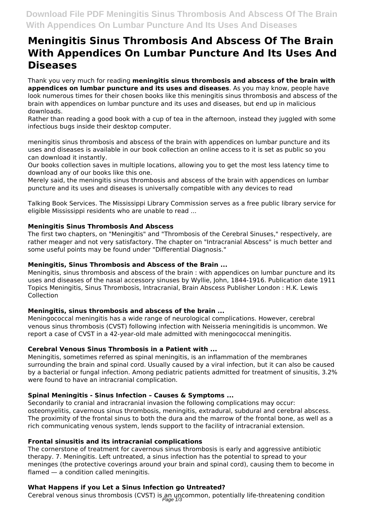# **Meningitis Sinus Thrombosis And Abscess Of The Brain With Appendices On Lumbar Puncture And Its Uses And Diseases**

Thank you very much for reading **meningitis sinus thrombosis and abscess of the brain with appendices on lumbar puncture and its uses and diseases**. As you may know, people have look numerous times for their chosen books like this meningitis sinus thrombosis and abscess of the brain with appendices on lumbar puncture and its uses and diseases, but end up in malicious downloads.

Rather than reading a good book with a cup of tea in the afternoon, instead they juggled with some infectious bugs inside their desktop computer.

meningitis sinus thrombosis and abscess of the brain with appendices on lumbar puncture and its uses and diseases is available in our book collection an online access to it is set as public so you can download it instantly.

Our books collection saves in multiple locations, allowing you to get the most less latency time to download any of our books like this one.

Merely said, the meningitis sinus thrombosis and abscess of the brain with appendices on lumbar puncture and its uses and diseases is universally compatible with any devices to read

Talking Book Services. The Mississippi Library Commission serves as a free public library service for eligible Mississippi residents who are unable to read ...

# **Meningitis Sinus Thrombosis And Abscess**

The first two chapters, on "Meningitis" and "Thrombosis of the Cerebral Sinuses," respectively, are rather meager and not very satisfactory. The chapter on "Intracranial Abscess" is much better and some useful points may be found under "Differential Diagnosis."

#### **Meningitis, Sinus Thrombosis and Abscess of the Brain ...**

Meningitis, sinus thrombosis and abscess of the brain : with appendices on lumbar puncture and its uses and diseases of the nasal accessory sinuses by Wyllie, John, 1844-1916. Publication date 1911 Topics Meningitis, Sinus Thrombosis, Intracranial, Brain Abscess Publisher London : H.K. Lewis Collection

#### **Meningitis, sinus thrombosis and abscess of the brain ...**

Meningococcal meningitis has a wide range of neurological complications. However, cerebral venous sinus thrombosis (CVST) following infection with Neisseria meningitidis is uncommon. We report a case of CVST in a 42-year-old male admitted with meningococcal meningitis.

# **Cerebral Venous Sinus Thrombosis in a Patient with ...**

Meningitis, sometimes referred as spinal meningitis, is an inflammation of the membranes surrounding the brain and spinal cord. Usually caused by a viral infection, but it can also be caused by a bacterial or fungal infection. Among pediatric patients admitted for treatment of sinusitis, 3.2% were found to have an intracranial complication.

#### **Spinal Meningitis - Sinus Infection – Causes & Symptoms ...**

Secondarily to cranial and intracranial invasion the following complications may occur: osteomyelitis, cavernous sinus thrombosis, meningitis, extradural, subdural and cerebral abscess. The proximity of the frontal sinus to both the dura and the marrow of the frontal bone, as well as a rich communicating venous system, lends support to the facility of intracranial extension.

#### **Frontal sinusitis and its intracranial complications**

The cornerstone of treatment for cavernous sinus thrombosis is early and aggressive antibiotic therapy. 7. Meningitis. Left untreated, a sinus infection has the potential to spread to your meninges (the protective coverings around your brain and spinal cord), causing them to become in flamed — a condition called meningitis.

# **What Happens if you Let a Sinus Infection go Untreated?**

Cerebral venous sinus thrombosis (CVST) is an uncommon, potentially life-threatening condition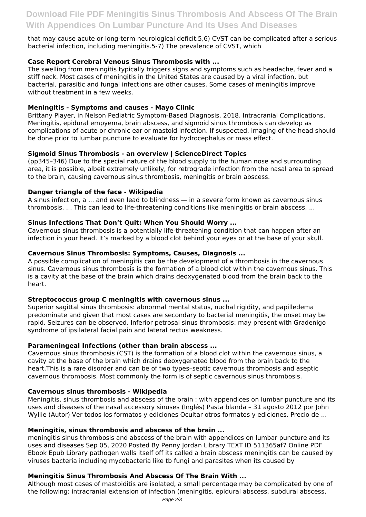that may cause acute or long-term neurological deficit.5,6) CVST can be complicated after a serious bacterial infection, including meningitis.5-7) The prevalence of CVST, which

# **Case Report Cerebral Venous Sinus Thrombosis with ...**

The swelling from meningitis typically triggers signs and symptoms such as headache, fever and a stiff neck. Most cases of meningitis in the United States are caused by a viral infection, but bacterial, parasitic and fungal infections are other causes. Some cases of meningitis improve without treatment in a few weeks.

# **Meningitis - Symptoms and causes - Mayo Clinic**

Brittany Player, in Nelson Pediatric Symptom-Based Diagnosis, 2018. Intracranial Complications. Meningitis, epidural empyema, brain abscess, and sigmoid sinus thrombosis can develop as complications of acute or chronic ear or mastoid infection. If suspected, imaging of the head should be done prior to lumbar puncture to evaluate for hydrocephalus or mass effect.

# **Sigmoid Sinus Thrombosis - an overview | ScienceDirect Topics**

(pp345–346) Due to the special nature of the blood supply to the human nose and surrounding area, it is possible, albeit extremely unlikely, for retrograde infection from the nasal area to spread to the brain, causing cavernous sinus thrombosis, meningitis or brain abscess.

# **Danger triangle of the face - Wikipedia**

A sinus infection, a ... and even lead to blindness — in a severe form known as cavernous sinus thrombosis. ... This can lead to life-threatening conditions like meningitis or brain abscess, ...

# **Sinus Infections That Don't Quit: When You Should Worry ...**

Cavernous sinus thrombosis is a potentially life-threatening condition that can happen after an infection in your head. It's marked by a blood clot behind your eyes or at the base of your skull.

# **Cavernous Sinus Thrombosis: Symptoms, Causes, Diagnosis ...**

A possible complication of meningitis can be the development of a thrombosis in the cavernous sinus. Cavernous sinus thrombosis is the formation of a blood clot within the cavernous sinus. This is a cavity at the base of the brain which drains deoxygenated blood from the brain back to the heart.

#### **Streptococcus group C meningitis with cavernous sinus ...**

Superior sagittal sinus thrombosis: abnormal mental status, nuchal rigidity, and papilledema predominate and given that most cases are secondary to bacterial meningitis, the onset may be rapid. Seizures can be observed. Inferior petrosal sinus thrombosis: may present with Gradenigo syndrome of ipsilateral facial pain and lateral rectus weakness.

#### **Parameningeal Infections (other than brain abscess ...**

Cavernous sinus thrombosis (CST) is the formation of a blood clot within the cavernous sinus, a cavity at the base of the brain which drains deoxygenated blood from the brain back to the heart.This is a rare disorder and can be of two types–septic cavernous thrombosis and aseptic cavernous thrombosis. Most commonly the form is of septic cavernous sinus thrombosis.

#### **Cavernous sinus thrombosis - Wikipedia**

Meningitis, sinus thrombosis and abscess of the brain : with appendices on lumbar puncture and its uses and diseases of the nasal accessory sinuses (Inglés) Pasta blanda – 31 agosto 2012 por John Wyllie (Autor) Ver todos los formatos y ediciones Ocultar otros formatos y ediciones. Precio de ...

#### **Meningitis, sinus thrombosis and abscess of the brain ...**

meningitis sinus thrombosis and abscess of the brain with appendices on lumbar puncture and its uses and diseases Sep 05, 2020 Posted By Penny Jordan Library TEXT ID 511365af7 Online PDF Ebook Epub Library pathogen walls itself off its called a brain abscess meningitis can be caused by viruses bacteria including mycobacteria like tb fungi and parasites when its caused by

# **Meningitis Sinus Thrombosis And Abscess Of The Brain With ...**

Although most cases of mastoiditis are isolated, a small percentage may be complicated by one of the following: intracranial extension of infection (meningitis, epidural abscess, subdural abscess,